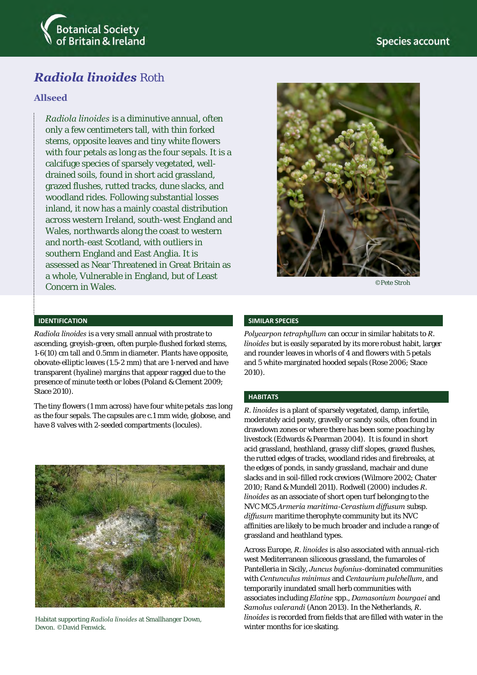

# *Radiola linoides* Roth

### **Allseed**

*Radiola linoides* is a diminutive annual, often only a few centimeters tall, with thin forked stems, opposite leaves and tiny white flowers with four petals as long as the four sepals. It is a calcifuge species of sparsely vegetated, welldrained soils, found in short acid grassland, grazed flushes, rutted tracks, dune slacks, and woodland rides. Following substantial losses inland, it now has a mainly coastal distribution across western Ireland, south-west England and Wales, northwards along the coast to western and north-east Scotland, with outliers in southern England and East Anglia. It is assessed as Near Threatened in Great Britain as a whole, Vulnerable in England, but of Least Concern in Wales.



©Pete Stroh

#### **IDENTIFICATION**

*Radiola linoides* is a very small annual with prostrate to ascending, greyish-green, often purple-flushed forked stems, 1-6(10) cm tall and 0.5mm in diameter. Plants have opposite, obovate-elliptic leaves (1.5-2 mm) that are 1-nerved and have transparent (hyaline) margins that appear ragged due to the presence of minute teeth or lobes (Poland & Clement 2009; Stace 2010).

The tiny flowers (1 mm across) have four white petals  $\pm$ as long as the four sepals. The capsules are c.1 mm wide, globose, and have 8 valves with 2-seeded compartments (locules).



Habitat supporting *Radiola linoides* at Smallhanger Down, Devon. ©David Fenwick.

#### **SIMILAR SPECIES**

*Polycarpon tetraphyllum* can occur in similar habitats to *R. linoides* but is easily separated by its more robust habit, larger and rounder leaves in whorls of 4 and flowers with 5 petals and 5 white-marginated hooded sepals (Rose 2006; Stace 2010).

#### **HABITATS**

*R. linoides* is a plant of sparsely vegetated, damp, infertile, moderately acid peaty, gravelly or sandy soils, often found in drawdown zones or where there has been some poaching by livestock (Edwards & Pearman 2004). It is found in short acid grassland, heathland, grassy cliff slopes, grazed flushes, the rutted edges of tracks, woodland rides and firebreaks, at the edges of ponds, in sandy grassland, machair and dune slacks and in soil-filled rock crevices (Wilmore 2002; Chater 2010; Rand & Mundell 2011). Rodwell (2000) includes *R. linoides* as an associate of short open turf belonging to the NVC MC5 *Armeria maritima*-*Cerastium diffusum* subsp. *diffusum* maritime therophyte community but its NVC affinities are likely to be much broader and include a range of grassland and heathland types.

Across Europe, *R. linoides* is also associated with annual-rich west Mediterranean siliceous grassland, the fumaroles of Pantelleria in Sicily, *Juncus bufonius*-dominated communities with *Centunculus minimus* and *Centaurium pulchellum*, and temporarily inundated small herb communities with associates including *Elatine* spp., *Damasonium bourgaei* and *Samolus valerandi* (Anon 2013). In the Netherlands, *R. linoides* is recorded from fields that are filled with water in the winter months for ice skating.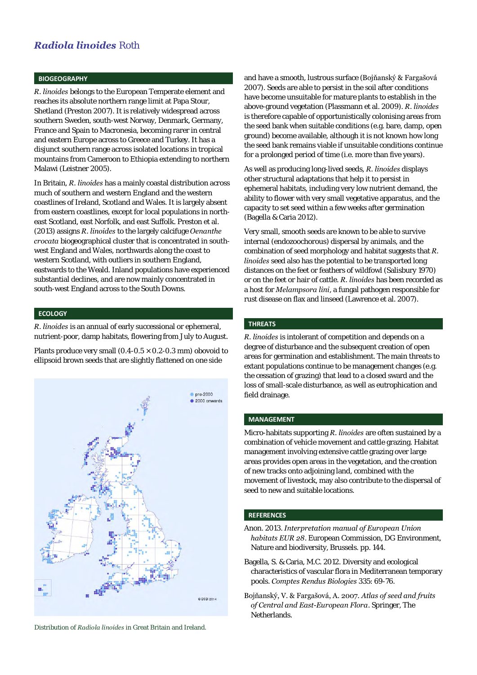### *Radiola linoides* Roth

#### **BIOGEOGRAPHY**

*R. linoides* belongs to the European Temperate element and reaches its absolute northern range limit at Papa Stour, Shetland (Preston 2007). It is relatively widespread across southern Sweden, south-west Norway, Denmark, Germany, France and Spain to Macronesia, becoming rarer in central and eastern Europe across to Greece and Turkey. It has a disjunct southern range across isolated locations in tropical mountains from Cameroon to Ethiopia extending to northern Malawi (Leistner 2005).

In Britain, *R. linoides* has a mainly coastal distribution across much of southern and western England and the western coastlines of Ireland, Scotland and Wales. It is largely absent from eastern coastlines, except for local populations in northeast Scotland, east Norfolk, and east Suffolk. Preston et al. (2013) assigns *R. linoides* to the largely calcifuge *Oenanthe crocata* biogeographical cluster that is concentrated in southwest England and Wales, northwards along the coast to western Scotland, with outliers in southern England, eastwards to the Weald. Inland populations have experienced substantial declines, and are now mainly concentrated in south-west England across to the South Downs.

#### **ECOLOGY**

*R. linoides* is an annual of early successional or ephemeral, nutrient-poor, damp habitats, flowering from July to August.

Plants produce very small (0.4-0.5  $\times$  0.2-0.3 mm) obovoid to ellipsoid brown seeds that are slightly flattened on one side



Distribution of *Radiola linoides* in Great Britain and Ireland.

and have a smooth, lustrous surface (Bojňanský & Fargašová 2007). Seeds are able to persist in the soil after conditions have become unsuitable for mature plants to establish in the above-ground vegetation (Plassmann et al. 2009). *R. linoides* is therefore capable of opportunistically colonising areas from the seed bank when suitable conditions (e.g. bare, damp, open ground) become available, although it is not known how long the seed bank remains viable if unsuitable conditions continue for a prolonged period of time (i.e. more than five years).

As well as producing long-lived seeds, *R. linoides* displays other structural adaptations that help it to persist in ephemeral habitats, including very low nutrient demand, the ability to flower with very small vegetative apparatus, and the capacity to set seed within a few weeks after germination (Bagella & Caria 2012).

Very small, smooth seeds are known to be able to survive internal (endozoochorous) dispersal by animals, and the combination of seed morphology and habitat suggests that *R. linoides* seed also has the potential to be transported long distances on the feet or feathers of wildfowl (Salisbury 1970) or on the feet or hair of cattle. *R. linoides* has been recorded as a host for *Melampsora lini*, a fungal pathogen responsible for rust disease on flax and linseed (Lawrence et al. 2007).

#### **THREATS**

*R. linoides* is intolerant of competition and depends on a degree of disturbance and the subsequent creation of open areas for germination and establishment. The main threats to extant populations continue to be management changes (e.g. the cessation of grazing) that lead to a closed sward and the loss of small-scale disturbance, as well as eutrophication and field drainage.

#### **MANAGEMENT**

Micro-habitats supporting *R. linoides* are often sustained by a combination of vehicle movement and cattle grazing. Habitat management involving extensive cattle grazing over large areas provides open areas in the vegetation, and the creation of new tracks onto adjoining land, combined with the movement of livestock, may also contribute to the dispersal of seed to new and suitable locations.

#### **REFERENCES**

- Anon. 2013. *Interpretation manual of European Union habitats EUR 28*. European Commission, DG Environment, Nature and biodiversity, Brussels. pp. 144.
- Bagella, S. & Caria, M.C. 2012. Diversity and ecological characteristics of vascular flora in Mediterranean temporary pools. *Comptes Rendus Biologies* 335: 69-76.
- Bojňanský, V. & Fargašová, A. 2007. *Atlas of seed and fruits of Central and East-European Flora*. Springer, The Netherlands.